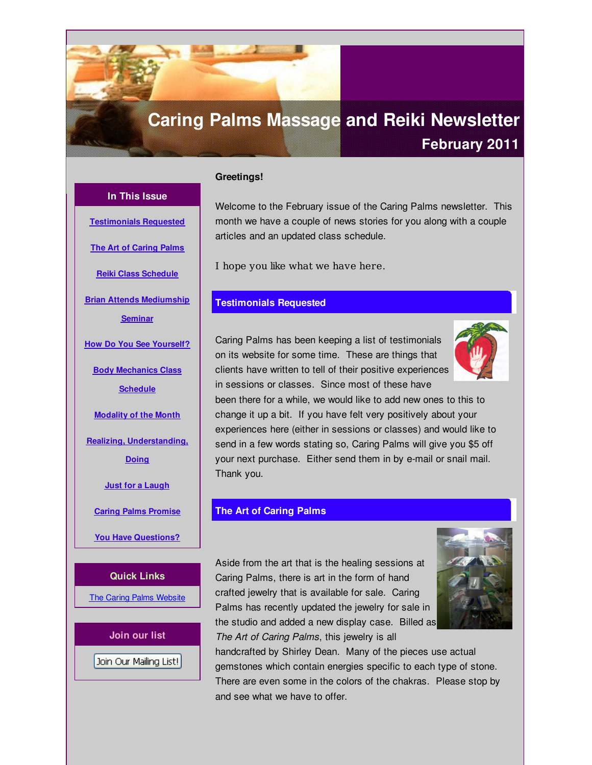# <span id="page-0-0"></span>**Caring Palms Massage and Reiki Newsletter February 2011**

# **Greetings!**

**In This Issue**

**[Testimonials](#page-0-0) Requested**

**The Art of [Caring](#page-0-0) Palms**

**Reiki Class [Schedule](#page-0-0)**

**Brian Attends [Mediumship](#page-0-0)**

**Seminar**

**How Do You See [Yourself?](#page-0-0)**

**Body [Mechanics](#page-0-0) Class**

**Schedule**

**[Modality](#page-0-0) of the Month**

**Realizing, [Understanding,](#page-0-0)**

**Doing**

**Just for a [Laugh](#page-0-0)**

**Caring Palms [Promise](#page-0-0)**

**You Have [Questions?](#page-0-0)**

**Quick Links**

The Caring Palms [Website](http://r20.rs6.net/tn.jsp?f=001y1ltD-1ldJDzDiVwNHG-Es5HooYJqU2RTJRjSvwn_LiyjeQXwVNZuB126ykjyBGGvkmbwLmKAt-dBS9Sfs6eXX0PoLuMTJyQe3hj4gK_PYUVq7s9oRtCiQ44ho2rFUXaTtFQnLPByCTzEfVYOrEScTnafQ6VxidfQa4bbE7vVHmx__QYArJ5rQ==&c=&ch=)

**Join our list** Join Our Mailing List! Welcome to the February issue of the Caring Palms newsletter. This month we have a couple of news stories for you along with a couple articles and an updated class schedule.

I hope you like what we have here.

## **Testimonials Requested**

Caring Palms has been keeping a list of testimonials on its website for some time. These are things that clients have written to tell of their positive experiences in sessions or classes. Since most of these have



been there for a while, we would like to add new ones to this to change it up a bit. If you have felt very positively about your experiences here (either in sessions or classes) and would like to send in a few words stating so, Caring Palms will give you \$5 off your next purchase. Either send them in by e-mail or snail mail. Thank you.

# **The Art of Caring Palms**

Aside from the art that is the healing sessions at Caring Palms, there is art in the form of hand crafted jewelry that is available for sale. Caring Palms has recently updated the jewelry for sale in the studio and added a new display case. Billed as *The Art of Caring Palms*, this jewelry is all



handcrafted by Shirley Dean. Many of the pieces use actual gemstones which contain energies specific to each type of stone. There are even some in the colors of the chakras. Please stop by and see what we have to offer.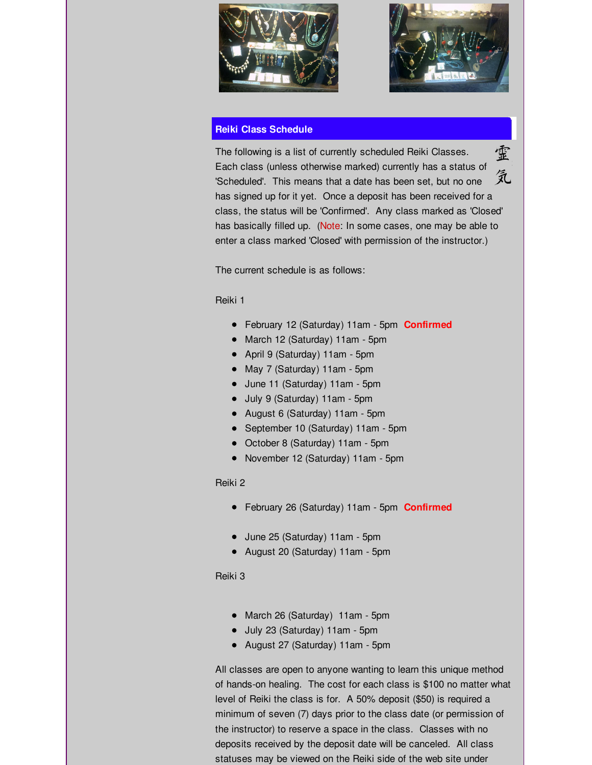



# **Reiki Class Schedule**

霊 The following is a list of currently scheduled Reiki Classes. Each class (unless otherwise marked) currently has a status of 気 'Scheduled'. This means that a date has been set, but no one has signed up for it yet. Once a deposit has been received for a class, the status will be 'Confirmed'. Any class marked as 'Closed' has basically filled up. (Note: In some cases, one may be able to enter a class marked 'Closed' with permission of the instructor.)

The current schedule is as follows:

## Reiki 1

- February 12 (Saturday) 11am 5pm **Confirmed**
- March 12 (Saturday) 11am 5pm
- April 9 (Saturday) 11am 5pm
- May 7 (Saturday) 11am 5pm
- June 11 (Saturday) 11am 5pm
- July 9 (Saturday) 11am 5pm
- August 6 (Saturday) 11am 5pm
- September 10 (Saturday) 11am 5pm
- October 8 (Saturday) 11am 5pm
- November 12 (Saturday) 11am 5pm

# Reiki 2

- February 26 (Saturday) 11am 5pm **Confirmed**
- June 25 (Saturday) 11am 5pm
- August 20 (Saturday) 11am 5pm

# Reiki 3

- March 26 (Saturday) 11am 5pm
- July 23 (Saturday) 11am 5pm
- August 27 (Saturday) 11am 5pm

All classes are open to anyone wanting to learn this unique method of hands-on healing. The cost for each class is \$100 no matter what level of Reiki the class is for. A 50% deposit (\$50) is required a minimum of seven (7) days prior to the class date (or permission of the instructor) to reserve a space in the class. Classes with no deposits received by the deposit date will be canceled. All class statuses may be viewed on the Reiki side of the web site under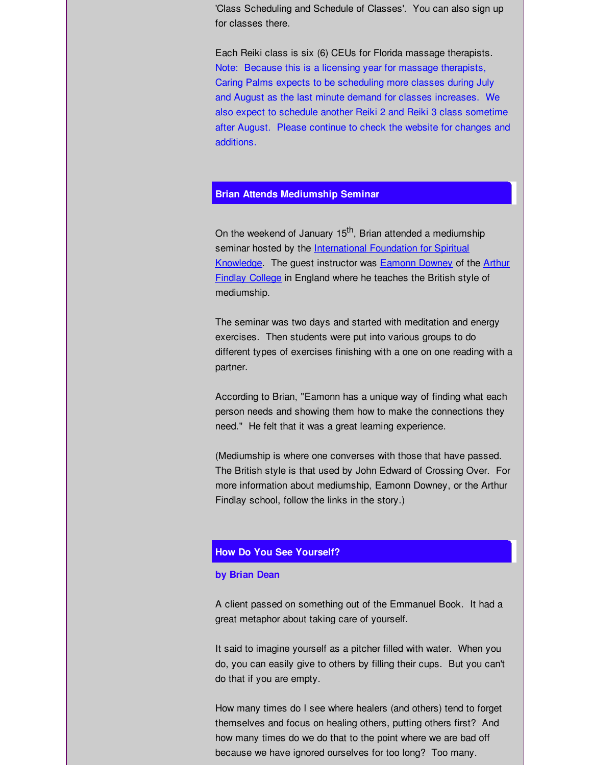'Class Scheduling and Schedule of Classes'. You can also sign up for classes there.

Each Reiki class is six (6) CEUs for Florida massage therapists. Note: Because this is a licensing year for massage therapists, Caring Palms expects to be scheduling more classes during July and August as the last minute demand for classes increases. We also expect to schedule another Reiki 2 and Reiki 3 class sometime after August. Please continue to check the website for changes and additions.

## **Brian Attends Mediumship Seminar**

On the weekend of January 15<sup>th</sup>, Brian attended a mediumship seminar hosted by the [International](http://r20.rs6.net/tn.jsp?f=001y1ltD-1ldJDzDiVwNHG-Es5HooYJqU2RTJRjSvwn_LiyjeQXwVNZuJ018evJmjixrdsV_TsapuhJD5zvVBVGZ7PYZdhsUyDc1qgSxWjd9Jba0rPEH_AStXWvQZjdaKpZ0BTANtt1kNByscZIxhmp950TQyyGhpF6KXsl2NdYtZw=&c=&ch=) Foundation for Spiritual [Knowledge.](http://r20.rs6.net/tn.jsp?f=001y1ltD-1ldJDzDiVwNHG-Es5HooYJqU2RTJRjSvwn_LiyjeQXwVNZuJ018evJmjix6tMRZw7xrblsyo7bfnsE9Nzg2UyEMD08Oy56f6KHlHkd2e_koXP4EbxqYlBr1mcH63_syZjrmhuvW_sv-xO13gKBDD2C4J_rIpdIwCTIMi09rz7UV6_ujLymGkUFThAk&c=&ch=) The guest instructor was **[Eamonn](http://r20.rs6.net/tn.jsp?f=001y1ltD-1ldJDzDiVwNHG-Es5HooYJqU2RTJRjSvwn_LiyjeQXwVNZuJ018evJmjixoueRJKXSUnmwKju918003GF5QCY5CcUZr4Bw_IWCQqIpkUCreyn6AI9la1-bnRtbyApCGx3aci1oGxKSKRDDfxq6379fD_6uDyHyX5t2q4zuq_XU07zEug==&c=&ch=) Downey** of the **Arthur** Findlay College in England where he teaches the British style of mediumship.

The seminar was two days and started with meditation and energy exercises. Then students were put into various groups to do different types of exercises finishing with a one on one reading with a partner.

According to Brian, "Eamonn has a unique way of finding what each person needs and showing them how to make the connections they need." He felt that it was a great learning experience.

(Mediumship is where one converses with those that have passed. The British style is that used by John Edward of Crossing Over. For more information about mediumship, Eamonn Downey, or the Arthur Findlay school, follow the links in the story.)

## **How Do You See Yourself?**

#### **by Brian Dean**

A client passed on something out of the Emmanuel Book. It had a great metaphor about taking care of yourself.

It said to imagine yourself as a pitcher filled with water. When you do, you can easily give to others by filling their cups. But you can't do that if you are empty.

How many times do I see where healers (and others) tend to forget themselves and focus on healing others, putting others first? And how many times do we do that to the point where we are bad off because we have ignored ourselves for too long? Too many.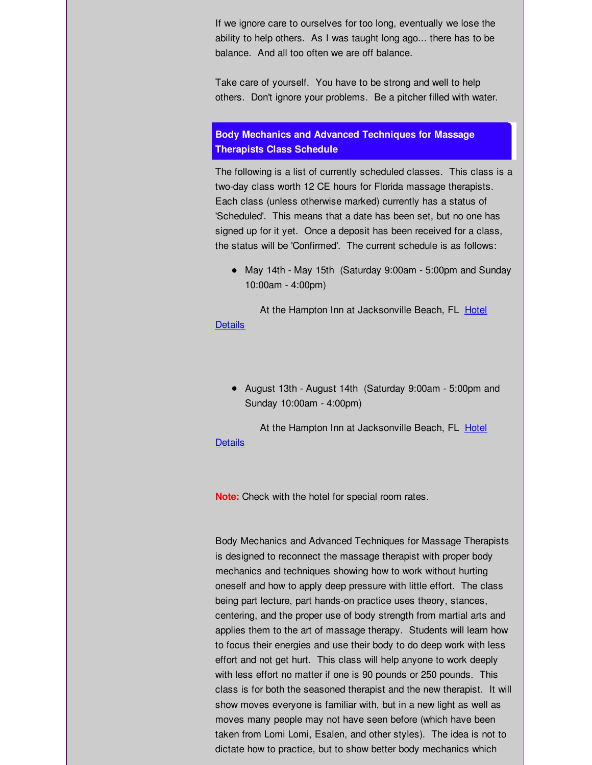If we ignore care to ourselves for too long, eventually we lose the ability to help others. As I was taught long ago... there has to be balance. And all too often we are off balance.

Take care of yourself. You have to be strong and well to help others. Don't ignore your problems. Be a pitcher filled with water.

# **Body Mechanics and Advanced Techniques for Massage Therapists Class Schedule**

The following is a list of currently scheduled classes. This class is a two-day class worth 12 CE hours for Florida massage therapists. Each class (unless otherwise marked) currently has a status of 'Scheduled'. This means that a date has been set, but no one has signed up for it yet. Once a deposit has been received for a class, the status will be 'Confirmed'. The current schedule is as follows:

May 14th - May 15th (Saturday 9:00am - 5:00pm and Sunday 10:00am - 4:00pm)

At the Hampton Inn at [Jacksonville](http://r20.rs6.net/tn.jsp?f=001y1ltD-1ldJDzDiVwNHG-Es5HooYJqU2RTJRjSvwn_LiyjeQXwVNZuAm_keXLBxt0oxUcLWuKUTVaVohJMqAxNjnjZt6s3z4MjrXryEbPtWv3rUa3NJDXHtehxHPuQ1cXJ_NvG_kH8KhudtJIpKp-Nz8GVtUoaLGbUFRGk8ZWiDnHPZSmaa7ze4h3Ru7O3XiwBiRoQn49exLB5_T5eVjXLoOp5YTVIpd8&c=&ch=) Beach, FL Hotel **Details** 

August 13th - August 14th (Saturday 9:00am - 5:00pm and Sunday 10:00am - 4:00pm)

At the Hampton Inn at [Jacksonville](http://r20.rs6.net/tn.jsp?f=001y1ltD-1ldJDzDiVwNHG-Es5HooYJqU2RTJRjSvwn_LiyjeQXwVNZuAm_keXLBxt0oxUcLWuKUTVaVohJMqAxNjnjZt6s3z4MjrXryEbPtWv3rUa3NJDXHtehxHPuQ1cXJ_NvG_kH8KhudtJIpKp-Nz8GVtUoaLGbUFRGk8ZWiDnHPZSmaa7ze4h3Ru7O3XiwBiRoQn49exLB5_T5eVjXLoOp5YTVIpd8&c=&ch=) Beach, FL Hotel **Details** 

**Note:** Check with the hotel for special room rates.

Body Mechanics and Advanced Techniques for Massage Therapists is designed to reconnect the massage therapist with proper body mechanics and techniques showing how to work without hurting oneself and how to apply deep pressure with little effort. The class being part lecture, part hands-on practice uses theory, stances, centering, and the proper use of body strength from martial arts and applies them to the art of massage therapy. Students will learn how to focus their energies and use their body to do deep work with less effort and not get hurt. This class will help anyone to work deeply with less effort no matter if one is 90 pounds or 250 pounds. This class is for both the seasoned therapist and the new therapist. It will show moves everyone is familiar with, but in a new light as well as moves many people may not have seen before (which have been taken from Lomi Lomi, Esalen, and other styles). The idea is not to dictate how to practice, but to show better body mechanics which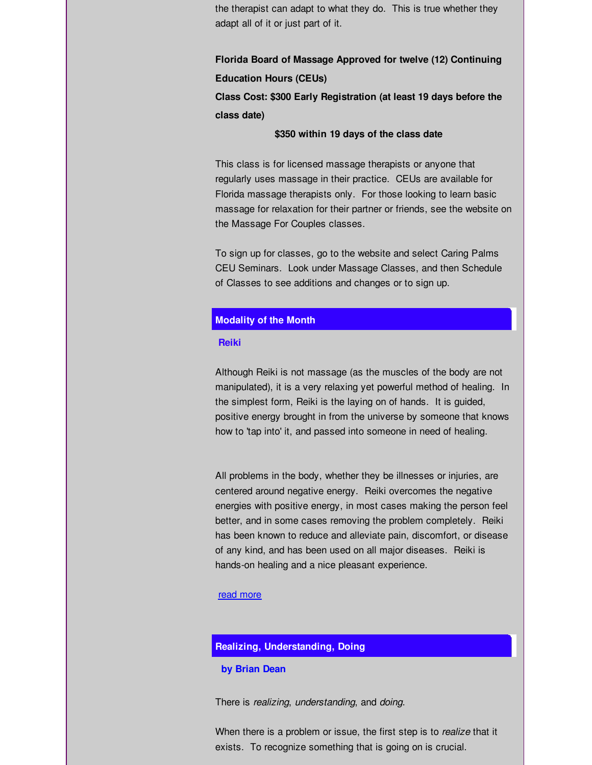the therapist can adapt to what they do. This is true whether they adapt all of it or just part of it.

**Florida Board of Massage Approved for twelve (12) Continuing Education Hours (CEUs)**

**Class Cost: \$300 Early Registration (at least 19 days before the class date)**

## **\$350 within 19 days of the class date**

This class is for licensed massage therapists or anyone that regularly uses massage in their practice. CEUs are available for Florida massage therapists only. For those looking to learn basic massage for relaxation for their partner or friends, see the website on the Massage For Couples classes.

To sign up for classes, go to the website and select Caring Palms CEU Seminars. Look under Massage Classes, and then Schedule of Classes to see additions and changes or to sign up.

# **Modality of the Month**

#### **Reiki**

Although Reiki is not massage (as the muscles of the body are not manipulated), it is a very relaxing yet powerful method of healing. In the simplest form, Reiki is the laying on of hands. It is guided, positive energy brought in from the universe by someone that knows how to 'tap into' it, and passed into someone in need of healing.

All problems in the body, whether they be illnesses or injuries, are centered around negative energy. Reiki overcomes the negative energies with positive energy, in most cases making the person feel better, and in some cases removing the problem completely. Reiki has been known to reduce and alleviate pain, discomfort, or disease of any kind, and has been used on all major diseases. Reiki is hands-on healing and a nice pleasant experience.

### read [more](http://r20.rs6.net/tn.jsp?t=9655treab.0.dz7nqfcab.tu8uywbab.&ts=S0583&r=3&p=http%3A%2F%2Fwww.caringpalms.com%2Fnewsletter%2Freiki.htm)

# **Realizing, Understanding, Doing**

#### **by Brian Dean**

There is *realizing*, *understanding*, and *doing*.

When there is a problem or issue, the first step is to *realize* that it exists. To recognize something that is going on is crucial.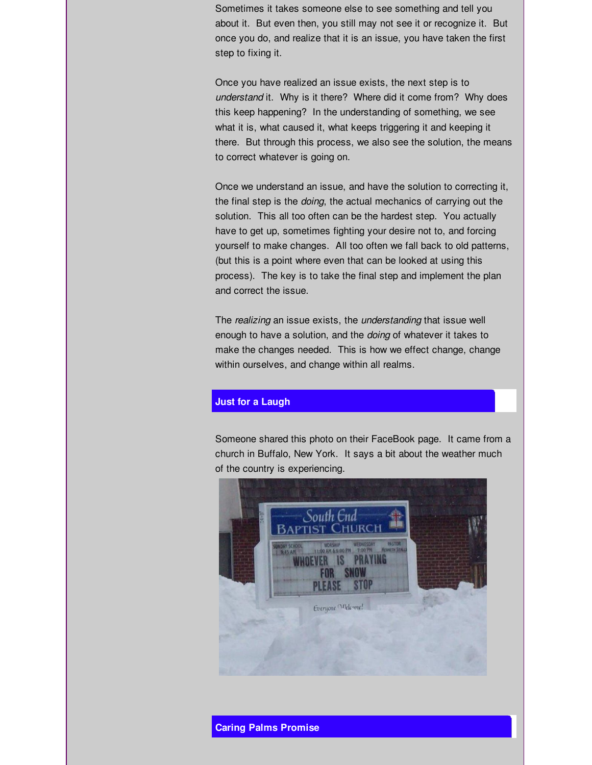Sometimes it takes someone else to see something and tell you about it. But even then, you still may not see it or recognize it. But once you do, and realize that it is an issue, you have taken the first step to fixing it.

Once you have realized an issue exists, the next step is to *understand* it. Why is it there? Where did it come from? Why does this keep happening? In the understanding of something, we see what it is, what caused it, what keeps triggering it and keeping it there. But through this process, we also see the solution, the means to correct whatever is going on.

Once we understand an issue, and have the solution to correcting it, the final step is the *doing*, the actual mechanics of carrying out the solution. This all too often can be the hardest step. You actually have to get up, sometimes fighting your desire not to, and forcing yourself to make changes. All too often we fall back to old patterns, (but this is a point where even that can be looked at using this process). The key is to take the final step and implement the plan and correct the issue.

The *realizing* an issue exists, the *understanding* that issue well enough to have a solution, and the *doing* of whatever it takes to make the changes needed. This is how we effect change, change within ourselves, and change within all realms.

## **Just for a Laugh**

Someone shared this photo on their FaceBook page. It came from a church in Buffalo, New York. It says a bit about the weather much of the country is experiencing.



**Caring Palms Promise**